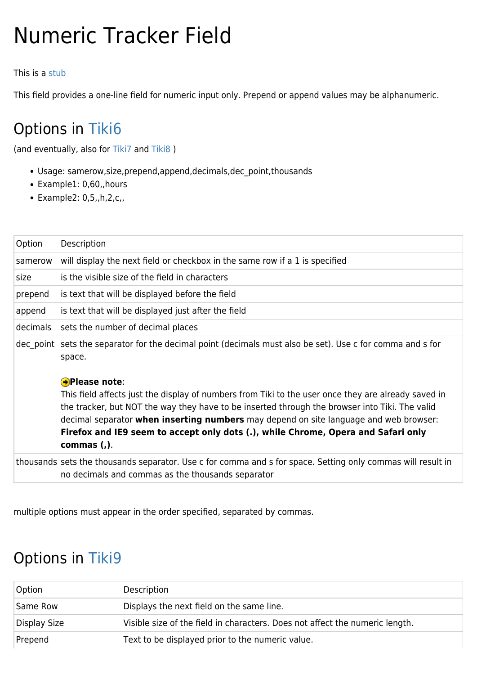## Numeric Tracker Field

## This is a [stub](https://doc.tiki.org/stub)

This field provides a one-line field for numeric input only. Prepend or append values may be alphanumeric.

## Options in [Tiki6](https://doc.tiki.org/Tiki6)

(and eventually, also for [Tiki7](https://doc.tiki.org/Tiki7) and [Tiki8](https://doc.tiki.org/Tiki8) )

- Usage: samerow,size,prepend,append,decimals,dec\_point,thousands
- Example1: 0,60,,hours
- Example2: 0,5,,h,2,c,,

| Option   | Description                                                                                                                                                                                                                                                                                                                                                                                                                               |
|----------|-------------------------------------------------------------------------------------------------------------------------------------------------------------------------------------------------------------------------------------------------------------------------------------------------------------------------------------------------------------------------------------------------------------------------------------------|
| samerow  | will display the next field or checkbox in the same row if a 1 is specified                                                                                                                                                                                                                                                                                                                                                               |
| size     | is the visible size of the field in characters                                                                                                                                                                                                                                                                                                                                                                                            |
| prepend  | is text that will be displayed before the field                                                                                                                                                                                                                                                                                                                                                                                           |
| append   | is text that will be displayed just after the field                                                                                                                                                                                                                                                                                                                                                                                       |
| decimals | sets the number of decimal places                                                                                                                                                                                                                                                                                                                                                                                                         |
|          | dec point sets the separator for the decimal point (decimals must also be set). Use c for comma and s for<br>space.                                                                                                                                                                                                                                                                                                                       |
|          | <b>A</b> Please note:<br>This field affects just the display of numbers from Tiki to the user once they are already saved in<br>the tracker, but NOT the way they have to be inserted through the browser into Tiki. The valid<br>decimal separator <b>when inserting numbers</b> may depend on site language and web browser:<br>Firefox and IE9 seem to accept only dots (.), while Chrome, Opera and Safari only<br>commas $($ , $)$ . |
|          | thousands sets the thousands separator. Use c for comma and s for space. Setting only commas will result in<br>no decimals and commas as the thousands separator                                                                                                                                                                                                                                                                          |

multiple options must appear in the order specified, separated by commas.

## Options in [Tiki9](https://doc.tiki.org/Tiki9)

| Option       | Description                                                                  |
|--------------|------------------------------------------------------------------------------|
| Same Row     | Displays the next field on the same line.                                    |
| Display Size | Visible size of the field in characters. Does not affect the numeric length. |
| Prepend      | Text to be displayed prior to the numeric value.                             |